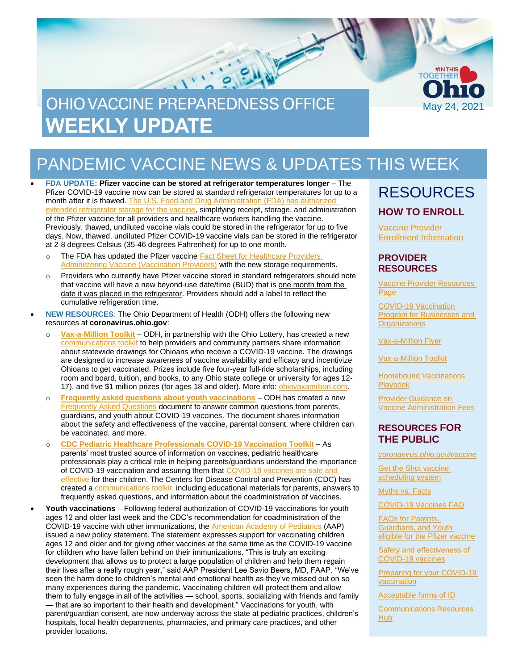

# PANDEMIC VACCINE NEWS & UPDATES THIS WEEK

• **FDA UPDATE: Pfizer vaccine can be stored at refrigerator temperatures longer** – The Pfizer COVID-19 vaccine now can be stored at standard refrigerator temperatures for up to a month after it is thawed. [The U.S. Food and Drug Administration \(FDA\) has authorized](https://www.fda.gov/news-events/press-announcements/fda-brief-fda-authorizes-longer-time-refrigerator-storage-thawed-pfizer-biontech-covid-19-vaccine)  [extended refrigerator storage for the vaccine,](https://www.fda.gov/news-events/press-announcements/fda-brief-fda-authorizes-longer-time-refrigerator-storage-thawed-pfizer-biontech-covid-19-vaccine) simplifying receipt, storage, and administration of the Pfizer vaccine for all providers and healthcare workers handling the vaccine. Previously, thawed, undiluted vaccine vials could be stored in the refrigerator for up to five days. Now, thawed, undiluted Pfizer COVID-19 vaccine vials can be stored in the refrigerator at 2-8 degrees Celsius (35-46 degrees Fahrenheit) for up to one month.

- o The FDA has updated the Pfizer vaccine Fact Sheet for Healthcare Providers [Administering Vaccine \(Vaccination Providers\)](https://www.fda.gov/media/144413/download) with the new storage requirements.
- o Providers who currently have Pfizer vaccine stored in standard refrigerators should note that vaccine will have a new beyond-use date/time (BUD) that is one month from the date it was placed in the refrigerator. Providers should add a label to reflect the cumulative refrigeration time.
- **NEW RESOURCES**: The Ohio Department of Health (ODH) offers the following new resources at **coronavirus.ohio.gov**:
	- o **[Vax-a-Million Toolkit](https://odh.ohio.gov/static/covid19/vaccine-providers/vax-a-million-communications-toolkit.pdf)** ODH, in partnership with the Ohio Lottery, has created a new [communications toolkit](https://odh.ohio.gov/static/covid19/vaccine-providers/vax-a-million-communications-toolkit.pdf) to help providers and community partners share information about statewide drawings for Ohioans who receive a COVID-19 vaccine. The drawings are designed to increase awareness of vaccine availability and efficacy and incentivize Ohioans to get vaccinated. Prizes include five four-year full-ride scholarships, including room and board, tuition, and books, to any Ohio state college or university for ages 12- 17), and five \$1 million prizes (for ages 18 and older). More info: *ohiovaxamillion.com.*
	- o **[Frequently asked questions about youth vaccinations](https://coronavirus.ohio.gov/static/vaccine/youth-vaccines-faq.pdf)** ODH has created a new [Frequently Asked Questions](https://coronavirus.ohio.gov/static/vaccine/youth-vaccines-faq.pdf) document to answer common questions from parents, guardians, and youth about COVID-19 vaccines. The document shares information about the safety and effectiveness of the vaccine, parental consent, where children can be vaccinated, and more.
	- o **[CDC Pediatric Healthcare Professionals COVID-19 Vaccination Toolkit](https://www.cdc.gov/coronavirus/2019-ncov/vaccines/toolkits/pediatrician.html)** As parents' most trusted source of information on vaccines, pediatric healthcare professionals play a critical role in helping parents/guardians understand the importance of COVID-19 vaccination and assuring them that COVID-19 vaccines are safe and [effective](https://www.cdc.gov/coronavirus/2019-ncov/vaccines/safety/safety-of-vaccines.html) for their children. The Centers for Disease Control and Prevention (CDC) has created a [communications toolkit,](https://www.cdc.gov/coronavirus/2019-ncov/vaccines/toolkits/pediatrician.html) including educational materials for parents, answers to frequently asked questions, and information about the coadministration of vaccines.
- **Youth vaccinations** Following federal authorization of COVID-19 vaccinations for youth ages 12 and older last week and the CDC's recommendation for coadministration of the COVID-19 vaccine with other immunizations, the [American Academy of Pediatrics](https://services.aap.org/en/news-room/news-releases/aap/2021/american-academy-of-pediatrics-calls-for-children-and-teens-age-12-and-up-to-get-the-covid-19-vaccine/) (AAP) issued a new policy statement. The statement expresses support for vaccinating children ages 12 and older and for giving other vaccines at the same time as the COVID-19 vaccine for children who have fallen behind on their immunizations. "This is truly an exciting development that allows us to protect a large population of children and help them regain their lives after a really rough year," said AAP President Lee Savio Beers, MD, FAAP. "We've seen the harm done to children's mental and emotional health as they've missed out on so many experiences during the pandemic. Vaccinating children will protect them and allow them to fully engage in all of the activities — school, sports, socializing with friends and family — that are so important to their health and development." Vaccinations for youth, with parent/guardian consent, are now underway across the state at pediatric practices, children's hospitals, local health departments, pharmacies, and primary care practices, and other provider locations.

### RESOURCES **HOW TO ENROLL**

[Vaccine Provider](https://odh.ohio.gov/wps/portal/gov/odh/know-our-programs/covid-19-vaccine-provider/ohio-covid-19-provider-enrollment)  [Enrollment Information](https://odh.ohio.gov/wps/portal/gov/odh/know-our-programs/covid-19-vaccine-provider/ohio-covid-19-provider-enrollment)

#### **PROVIDER RESOURCES**

[Vaccine Provider Resources](https://odh.ohio.gov/wps/portal/gov/odh/know-our-programs/covid-19-vaccine-provider/latest-resources/latest-resources) [Page](https://odh.ohio.gov/wps/portal/gov/odh/know-our-programs/covid-19-vaccine-provider/latest-resources/latest-resources)

[COVID-19 Vaccination](https://coronavirus.ohio.gov/wps/portal/gov/covid-19/covid-19-vaccination-program/businesses-and-organizations)  [Program for Businesses and](https://coronavirus.ohio.gov/wps/portal/gov/covid-19/covid-19-vaccination-program/businesses-and-organizations)  **[Organizations](https://coronavirus.ohio.gov/wps/portal/gov/covid-19/covid-19-vaccination-program/businesses-and-organizations)** 

[Vax-a-Million Flyer](https://odh.ohio.gov/static/covid19/vaccine-providers/ohio-vax-a-million-flyer.pdf)

[Vax-a-Million Toolkit](https://odh.ohio.gov/static/covid19/vaccine-providers/vax-a-million-communications-toolkit.pdf)

**Homebound Vaccinations** [Playbook](https://coronavirus.ohio.gov/static/vaccine/homebound-vaccinations-playbook.pdf)

[Provider Guidance on](https://odh.ohio.gov/static/covid19/vaccine-providers/provider-guidance-vaccine-administration-fees.pdf)  [Vaccine Administration Fees](https://odh.ohio.gov/static/covid19/vaccine-providers/provider-guidance-vaccine-administration-fees.pdf)

### **RESOURCES FOR THE PUBLIC**

*[coronavirus.ohio.gov/vaccine](https://coronavirus.ohio.gov/vaccine)*

[Get the Shot vaccine](https://gettheshot.coronavirus.ohio.gov/)  [scheduling system](https://gettheshot.coronavirus.ohio.gov/)

[Myths vs. Facts](https://coronavirus.ohio.gov/wps/portal/gov/covid-19/covid-19-vaccination-program/COVID-19-vaccine-myths-vs-facts)

[COVID-19 Vaccines FAQ](https://coronavirus.ohio.gov/wps/portal/gov/covid-19/resources/general-resources/frequently-asked-questions+covid-19-vaccine)

[FAQs for Parents,](https://coronavirus.ohio.gov/static/vaccine/youth-vaccines-faq.pdf)  [Guardians, and Youth](https://coronavirus.ohio.gov/static/vaccine/youth-vaccines-faq.pdf)  [eligible for the Pfizer vaccine](https://coronavirus.ohio.gov/static/vaccine/youth-vaccines-faq.pdf)

[Safety and effectiveness of](https://coronavirus.ohio.gov/static/vaccine/covid-19-vaccine-safety.pdf)  [COVID-19 vaccines](https://coronavirus.ohio.gov/static/vaccine/covid-19-vaccine-safety.pdf)

Preparing for your COVID-19 [vaccination](https://coronavirus.ohio.gov/static/vaccine/covid-19-fact-sheet-vaccine-appointment.pdf)

[Acceptable forms of ID](https://coronavirus.ohio.gov/static/vaccine/covid-19-fact-sheet-forms-of-id.pdf)

[Communications Resources](https://coronavirus.ohio.gov/wps/portal/gov/covid-19/health-equity/communications-resources-hub/communications-resources-hub)  [Hub](https://coronavirus.ohio.gov/wps/portal/gov/covid-19/health-equity/communications-resources-hub/communications-resources-hub)